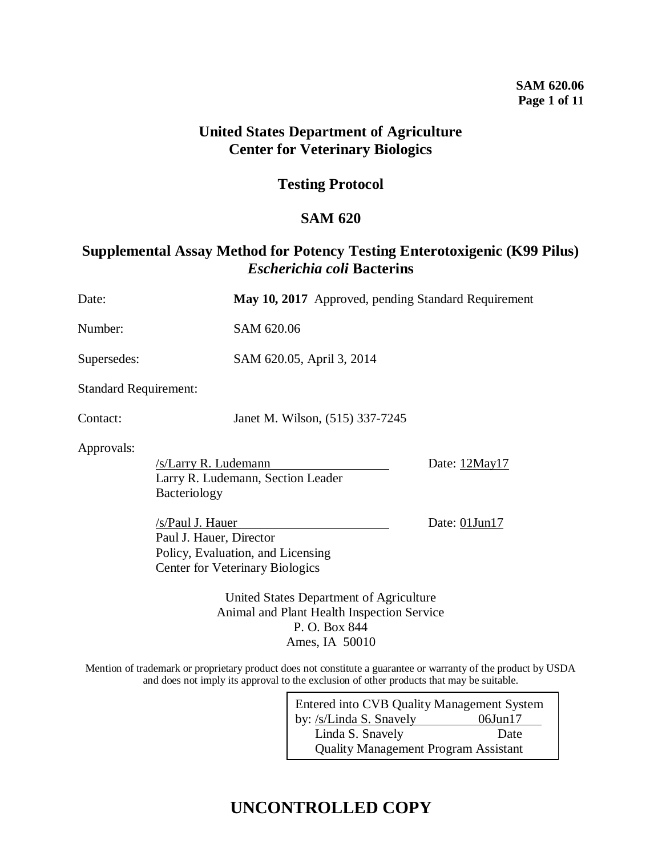## **SAM 620.06 Page 1 of 11**

## **United States Department of Agriculture Center for Veterinary Biologics**

## **Testing Protocol**

## **SAM 620**

## **Supplemental Assay Method for Potency Testing Enterotoxigenic (K99 Pilus)**  *Escherichia coli* **Bacterins**

| Date:                        |                                                                           | May 10, 2017 Approved, pending Standard Requirement                                                                      |               |
|------------------------------|---------------------------------------------------------------------------|--------------------------------------------------------------------------------------------------------------------------|---------------|
| Number:                      |                                                                           | SAM 620.06                                                                                                               |               |
| Supersedes:                  |                                                                           | SAM 620.05, April 3, 2014                                                                                                |               |
| <b>Standard Requirement:</b> |                                                                           |                                                                                                                          |               |
| Contact:                     |                                                                           | Janet M. Wilson, (515) 337-7245                                                                                          |               |
| Approvals:                   | /s/Larry R. Ludemann<br>Larry R. Ludemann, Section Leader<br>Bacteriology |                                                                                                                          | Date: 12May17 |
|                              | /s/Paul J. Hauer<br>Paul J. Hauer, Director                               | Policy, Evaluation, and Licensing<br><b>Center for Veterinary Biologics</b>                                              | Date: 01Jun17 |
|                              |                                                                           | United States Department of Agriculture<br>Animal and Plant Health Inspection Service<br>P. O. Box 844<br>Ames, IA 50010 |               |

Mention of trademark or proprietary product does not constitute a guarantee or warranty of the product by USDA and does not imply its approval to the exclusion of other products that may be suitable.

| <b>Entered into CVB Quality Management System</b> |               |  |
|---------------------------------------------------|---------------|--|
| by: /s/Linda S. Snavely                           | $06$ Jun $17$ |  |
| Linda S. Snavely                                  | Date          |  |
| <b>Quality Management Program Assistant</b>       |               |  |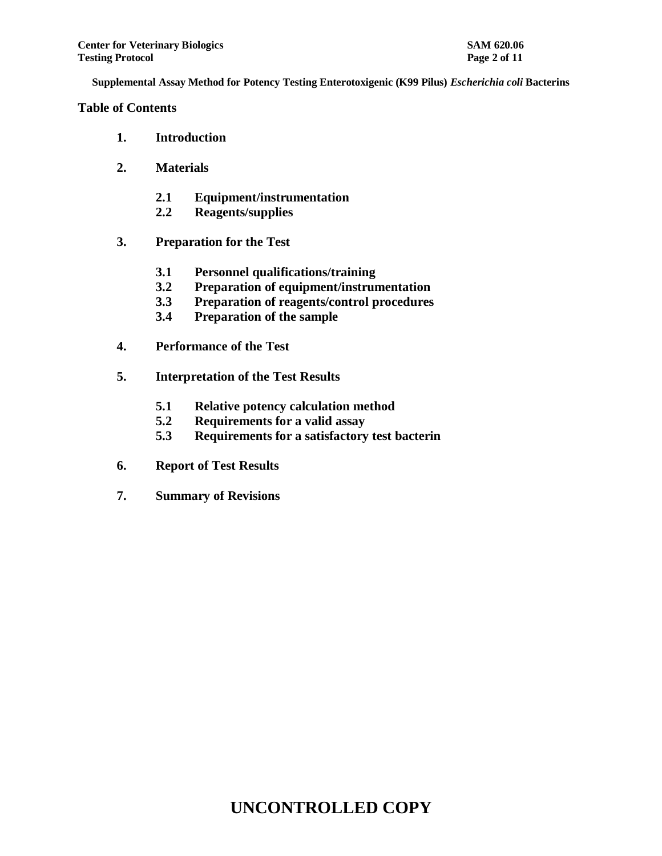**Table of Contents**

- **1. Introduction**
- **2. Materials**
	- **2.1 Equipment/instrumentation**
	- **2.2 Reagents/supplies**
- **3. Preparation for the Test**
	- **3.1 Personnel qualifications/training**
	- **3.2 Preparation of equipment/instrumentation**
	- **3.3 Preparation of reagents/control procedures**
	- **3.4 Preparation of the sample**
- **4. Performance of the Test**
- **5. Interpretation of the Test Results**
	- **5.1 Relative potency calculation method**
	- **5.2 Requirements for a valid assay**
	- **5.3 Requirements for a satisfactory test bacterin**
- **6. Report of Test Results**
- **7. Summary of Revisions**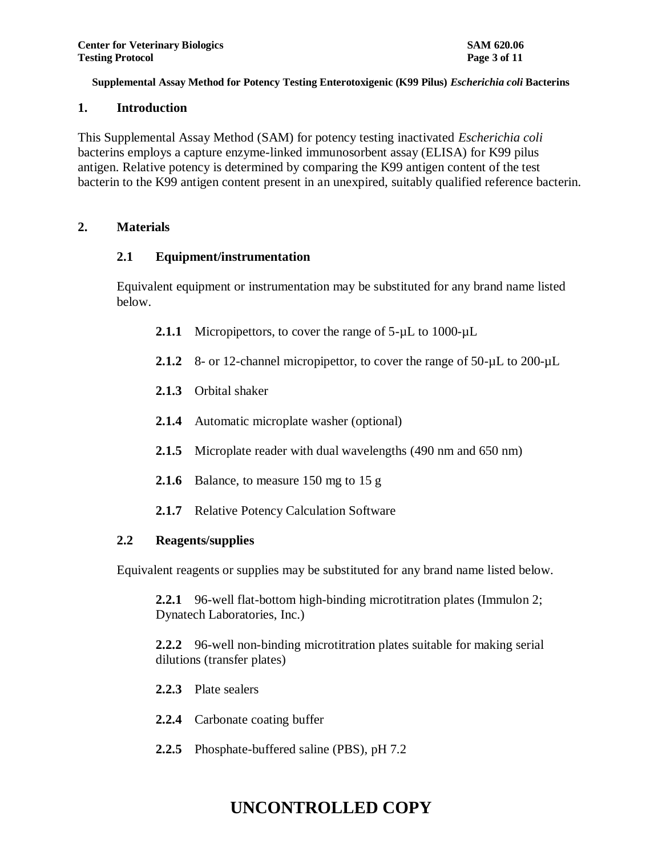## **1. Introduction**

This Supplemental Assay Method (SAM) for potency testing inactivated *Escherichia coli* bacterins employs a capture enzyme-linked immunosorbent assay (ELISA) for K99 pilus antigen. Relative potency is determined by comparing the K99 antigen content of the test bacterin to the K99 antigen content present in an unexpired, suitably qualified reference bacterin.

## **2. Materials**

## **2.1 Equipment/instrumentation**

Equivalent equipment or instrumentation may be substituted for any brand name listed below.

- 2.1.1 Micropipettors, to cover the range of 5-µL to 1000-µL
- 2.1.2 8- or 12-channel micropipettor, to cover the range of 50- $\mu$ L to 200- $\mu$ L
- **2.1.3** Orbital shaker
- **2.1.4** Automatic microplate washer (optional)
- **2.1.5** Microplate reader with dual wavelengths (490 nm and 650 nm)
- **2.1.6** Balance, to measure 150 mg to 15 g
- **2.1.7** Relative Potency Calculation Software

## **2.2 Reagents/supplies**

Equivalent reagents or supplies may be substituted for any brand name listed below.

**2.2.1** 96-well flat-bottom high-binding microtitration plates (Immulon 2; Dynatech Laboratories, Inc.)

**2.2.2** 96-well non-binding microtitration plates suitable for making serial dilutions (transfer plates)

- **2.2.3** Plate sealers
- **2.2.4** Carbonate coating buffer
- **2.2.5** Phosphate-buffered saline (PBS), pH 7.2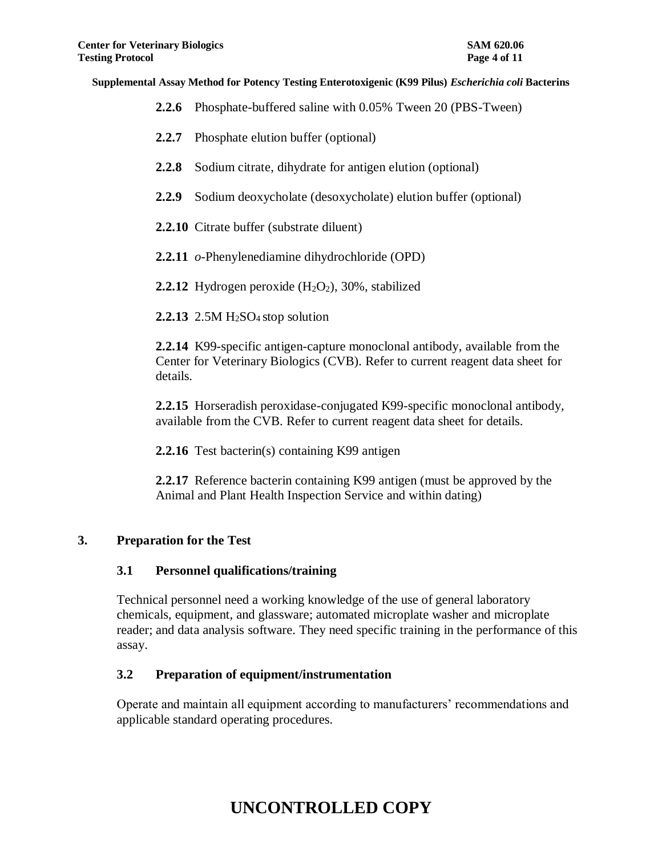- **2.2.6** Phosphate-buffered saline with 0.05% Tween 20 (PBS-Tween)
- **2.2.7** Phosphate elution buffer (optional)
- **2.2.8** Sodium citrate, dihydrate for antigen elution (optional)
- **2.2.9** Sodium deoxycholate (desoxycholate) elution buffer (optional)
- **2.2.10** Citrate buffer (substrate diluent)
- **2.2.11** *o*-Phenylenediamine dihydrochloride (OPD)
- **2.2.12** Hydrogen peroxide  $(H_2O_2)$ , 30%, stabilized
- **2.2.13** 2.5M H<sub>2</sub>SO<sub>4</sub> stop solution

**2.2.14** K99-specific antigen-capture monoclonal antibody, available from the Center for Veterinary Biologics (CVB). Refer to current reagent data sheet for details.

**2.2.15** Horseradish peroxidase-conjugated K99-specific monoclonal antibody, available from the CVB. Refer to current reagent data sheet for details.

**2.2.16** Test bacterin(s) containing K99 antigen

**2.2.17** Reference bacterin containing K99 antigen (must be approved by the Animal and Plant Health Inspection Service and within dating)

## **3. Preparation for the Test**

#### **3.1 Personnel qualifications/training**

Technical personnel need a working knowledge of the use of general laboratory chemicals, equipment, and glassware; automated microplate washer and microplate reader; and data analysis software. They need specific training in the performance of this assay.

## **3.2 Preparation of equipment/instrumentation**

Operate and maintain all equipment according to manufacturers' recommendations and applicable standard operating procedures.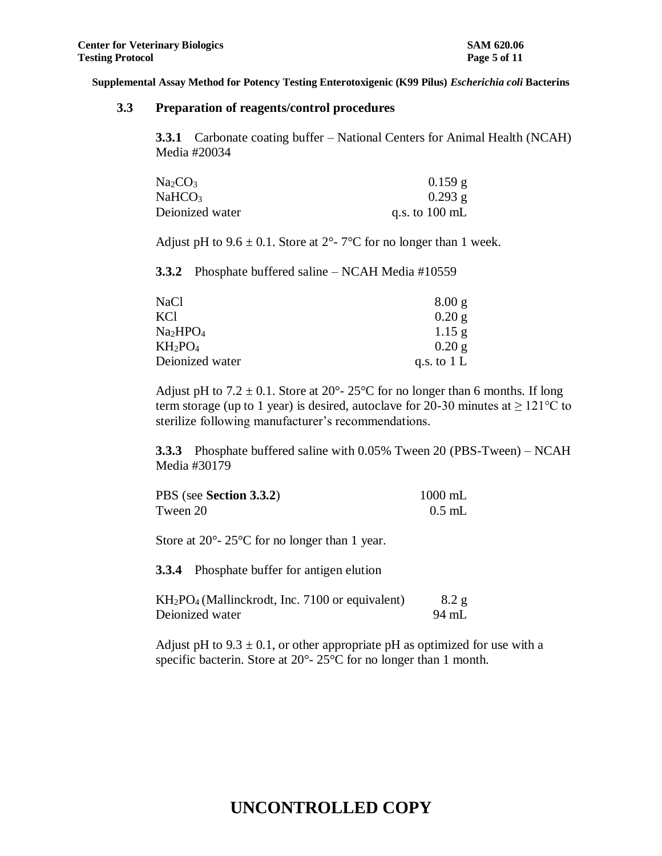#### **3.3 Preparation of reagents/control procedures**

**3.3.1** Carbonate coating buffer – National Centers for Animal Health (NCAH) Media #20034

| Na <sub>2</sub> CO <sub>3</sub> | $0.159$ g                |
|---------------------------------|--------------------------|
| NaHCO <sub>3</sub>              | $0.293$ g                |
| Deionized water                 | q.s. to $100 \text{ mL}$ |

Adjust pH to  $9.6 \pm 0.1$ . Store at  $2^{\circ}$ -  $7^{\circ}$ C for no longer than 1 week.

**3.3.2** Phosphate buffered saline – NCAH Media #10559

| NaCl                             | 8.00 g        |
|----------------------------------|---------------|
| KCl                              | 0.20 g        |
| Na <sub>2</sub> HPO <sub>4</sub> | 1.15 g        |
| $KH_2PO_4$                       | $0.20$ g      |
| Deionized water                  | q.s. to $1 L$ |

Adjust pH to  $7.2 \pm 0.1$ . Store at  $20^{\circ}$ -  $25^{\circ}$ C for no longer than 6 months. If long term storage (up to 1 year) is desired, autoclave for 20-30 minutes at  $\geq 121^{\circ}$ C to sterilize following manufacturer's recommendations.

**3.3.3** Phosphate buffered saline with 0.05% Tween 20 (PBS-Tween) – NCAH Media #30179

| PBS (see Section 3.3.2) | $1000$ mL |
|-------------------------|-----------|
| Tween 20                | $0.5$ mL  |

Store at 20<sup>o</sup>- 25<sup>o</sup>C for no longer than 1 year.

**3.3.4** Phosphate buffer for antigen elution

| $KH_2PO_4$ (Mallinckrodt, Inc. 7100 or equivalent) | 8.2 g |
|----------------------------------------------------|-------|
| Deionized water                                    | 94 mL |

Adjust pH to  $9.3 \pm 0.1$ , or other appropriate pH as optimized for use with a specific bacterin. Store at 20°- 25°C for no longer than 1 month.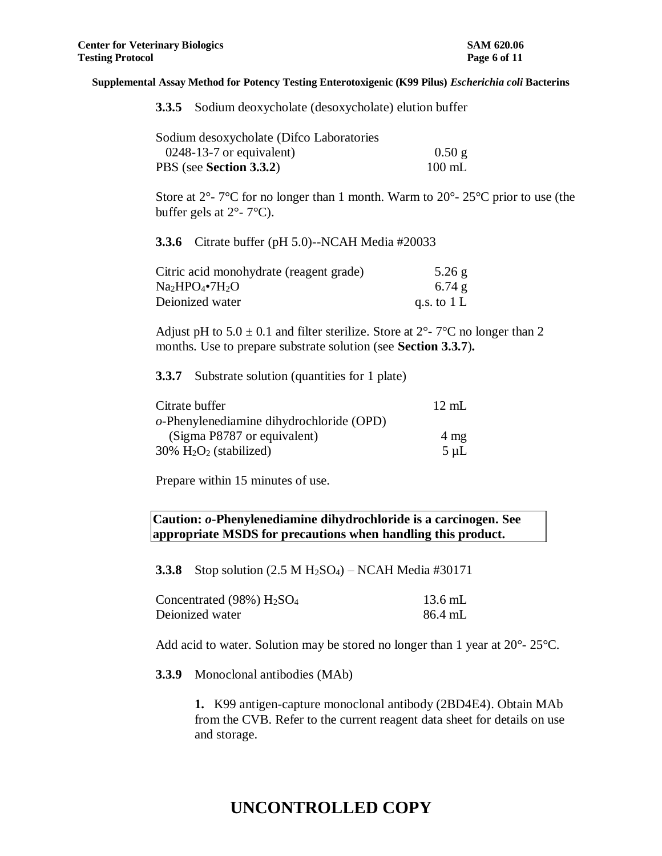|  |  |  |  | 3.3.5 Sodium deoxycholate (desoxycholate) elution buffer |
|--|--|--|--|----------------------------------------------------------|
|--|--|--|--|----------------------------------------------------------|

| Sodium desoxycholate (Difco Laboratories |                  |
|------------------------------------------|------------------|
| $0248-13-7$ or equivalent)               | $0.50$ g         |
| PBS (see Section 3.3.2)                  | $100 \text{ mL}$ |

Store at  $2^{\circ}$ -  $7^{\circ}$ C for no longer than 1 month. Warm to  $20^{\circ}$ -  $25^{\circ}$ C prior to use (the buffer gels at  $2^{\circ}$ - 7 $^{\circ}$ C).

**3.3.6** Citrate buffer (pH 5.0)--NCAH Media #20033

| Citric acid monohydrate (reagent grade) | $5.26$ g      |
|-----------------------------------------|---------------|
| $Na2HPO4•7H2O$                          | $6.74$ g      |
| Deionized water                         | q.s. to $1 L$ |

Adjust pH to  $5.0 \pm 0.1$  and filter sterilize. Store at  $2^{\circ}$ -  $7^{\circ}$ C no longer than 2 months. Use to prepare substrate solution (see **Section 3.3.7**)**.**

**3.3.7** Substrate solution (quantities for 1 plate)

| Citrate buffer                                    | $12 \text{ mL}$ |
|---------------------------------------------------|-----------------|
| $o$ -Phenylenediamine dihydrochloride (OPD)       |                 |
| (Sigma P8787 or equivalent)                       | $4 \text{ mg}$  |
| $30\%$ H <sub>2</sub> O <sub>2</sub> (stabilized) | $5 \mu L$       |

Prepare within 15 minutes of use.

**Caution:** *o***-Phenylenediamine dihydrochloride is a carcinogen. See appropriate MSDS for precautions when handling this product.**

**3.3.8** Stop solution (2.5 M H<sub>2</sub>SO<sub>4</sub>) – NCAH Media #30171

| Concentrated $(98\%)$ $H2SO4$ | $13.6$ mL |
|-------------------------------|-----------|
| Deionized water               | 86.4 mL   |

Add acid to water. Solution may be stored no longer than 1 year at 20°- 25°C.

**3.3.9** Monoclonal antibodies (MAb)

**1.** K99 antigen-capture monoclonal antibody (2BD4E4). Obtain MAb from the CVB. Refer to the current reagent data sheet for details on use and storage.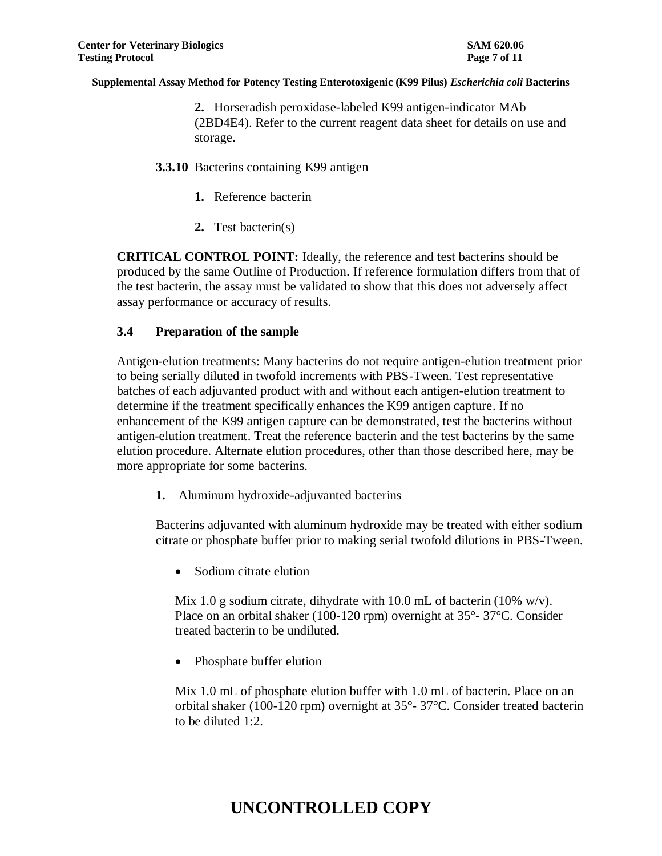**2.** Horseradish peroxidase-labeled K99 antigen-indicator MAb (2BD4E4). Refer to the current reagent data sheet for details on use and storage.

- **3.3.10** Bacterins containing K99 antigen
	- **1.** Reference bacterin
	- **2.** Test bacterin(s)

**CRITICAL CONTROL POINT:** Ideally, the reference and test bacterins should be produced by the same Outline of Production. If reference formulation differs from that of the test bacterin, the assay must be validated to show that this does not adversely affect assay performance or accuracy of results.

## **3.4 Preparation of the sample**

Antigen-elution treatments: Many bacterins do not require antigen-elution treatment prior to being serially diluted in twofold increments with PBS-Tween. Test representative batches of each adjuvanted product with and without each antigen-elution treatment to determine if the treatment specifically enhances the K99 antigen capture. If no enhancement of the K99 antigen capture can be demonstrated, test the bacterins without antigen-elution treatment. Treat the reference bacterin and the test bacterins by the same elution procedure. Alternate elution procedures, other than those described here, may be more appropriate for some bacterins.

**1.** Aluminum hydroxide-adjuvanted bacterins

Bacterins adjuvanted with aluminum hydroxide may be treated with either sodium citrate or phosphate buffer prior to making serial twofold dilutions in PBS-Tween.

• Sodium citrate elution

Mix 1.0 g sodium citrate, dihydrate with 10.0 mL of bacterin (10% w/v). Place on an orbital shaker (100-120 rpm) overnight at 35°- 37°C. Consider treated bacterin to be undiluted.

Phosphate buffer elution

Mix 1.0 mL of phosphate elution buffer with 1.0 mL of bacterin. Place on an orbital shaker (100-120 rpm) overnight at 35°- 37°C. Consider treated bacterin to be diluted 1:2.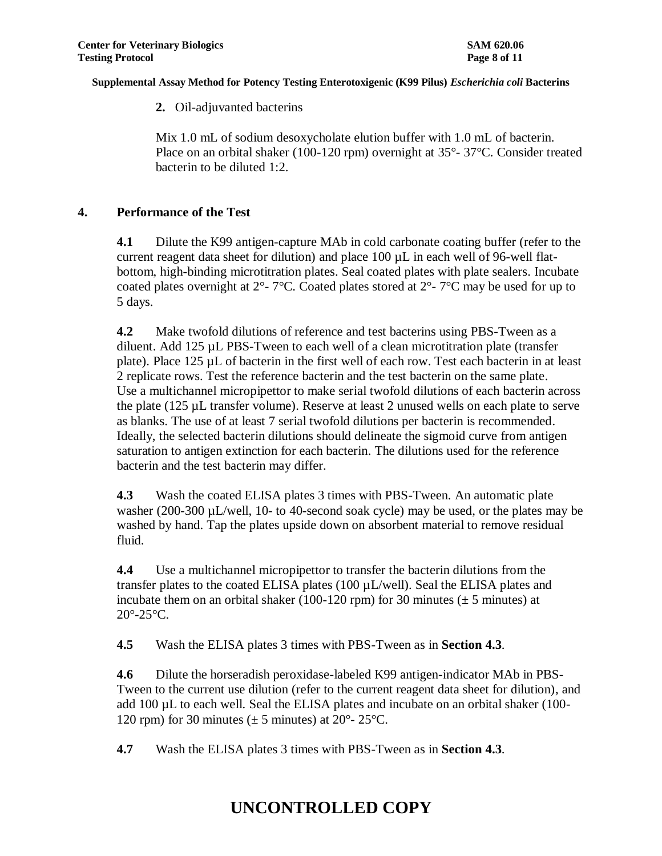**2.** Oil-adjuvanted bacterins

Mix 1.0 mL of sodium desoxycholate elution buffer with 1.0 mL of bacterin. Place on an orbital shaker (100-120 rpm) overnight at 35°- 37°C. Consider treated bacterin to be diluted 1:2.

## **4. Performance of the Test**

**4.1** Dilute the K99 antigen-capture MAb in cold carbonate coating buffer (refer to the current reagent data sheet for dilution) and place  $100 \mu L$  in each well of 96-well flatbottom, high-binding microtitration plates. Seal coated plates with plate sealers. Incubate coated plates overnight at  $2^{\circ}$ - 7°C. Coated plates stored at  $2^{\circ}$ - 7°C may be used for up to 5 days.

**4.2** Make twofold dilutions of reference and test bacterins using PBS-Tween as a diluent. Add 125 µL PBS-Tween to each well of a clean microtitration plate (transfer plate). Place 125 µL of bacterin in the first well of each row. Test each bacterin in at least 2 replicate rows. Test the reference bacterin and the test bacterin on the same plate. Use a multichannel micropipettor to make serial twofold dilutions of each bacterin across the plate (125 µL transfer volume). Reserve at least 2 unused wells on each plate to serve as blanks. The use of at least 7 serial twofold dilutions per bacterin is recommended. Ideally, the selected bacterin dilutions should delineate the sigmoid curve from antigen saturation to antigen extinction for each bacterin. The dilutions used for the reference bacterin and the test bacterin may differ.

**4.3** Wash the coated ELISA plates 3 times with PBS-Tween. An automatic plate washer (200-300 µL/well, 10- to 40-second soak cycle) may be used, or the plates may be washed by hand. Tap the plates upside down on absorbent material to remove residual fluid.

**4.4** Use a multichannel micropipettor to transfer the bacterin dilutions from the transfer plates to the coated ELISA plates (100 µL/well). Seal the ELISA plates and incubate them on an orbital shaker (100-120 rpm) for 30 minutes ( $\pm$  5 minutes) at  $20^\circ$ - $25^\circ$ C.

**4.5** Wash the ELISA plates 3 times with PBS-Tween as in **Section 4.3**.

**4.6** Dilute the horseradish peroxidase-labeled K99 antigen-indicator MAb in PBS-Tween to the current use dilution (refer to the current reagent data sheet for dilution), and add 100 µL to each well. Seal the ELISA plates and incubate on an orbital shaker (100- 120 rpm) for 30 minutes ( $\pm$  5 minutes) at 20 $^{\circ}$ - 25 $^{\circ}$ C.

**4.7** Wash the ELISA plates 3 times with PBS-Tween as in **Section 4.3**.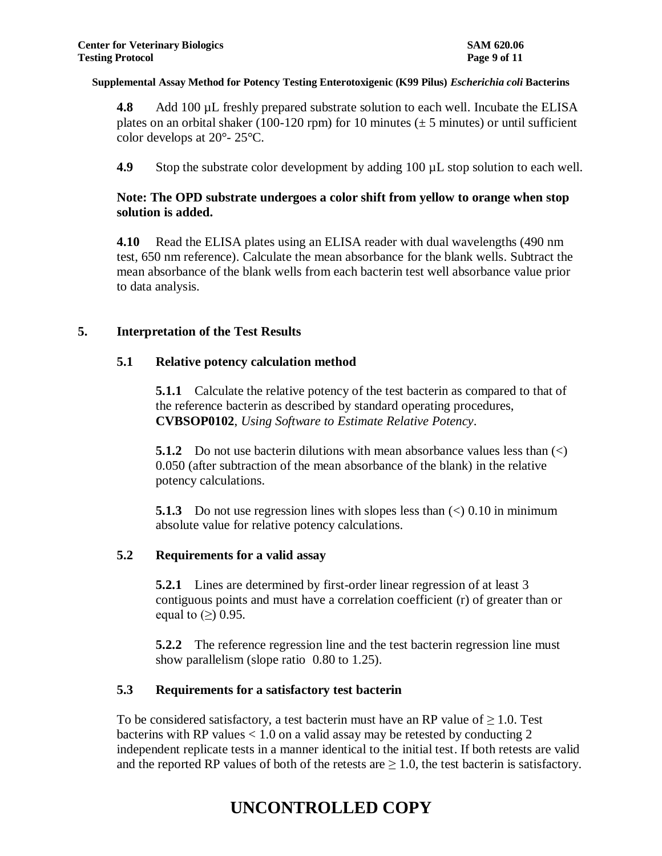**4.8** Add 100 µL freshly prepared substrate solution to each well. Incubate the ELISA plates on an orbital shaker (100-120 rpm) for 10 minutes ( $\pm$  5 minutes) or until sufficient color develops at 20°- 25°C.

**4.9** Stop the substrate color development by adding 100  $\mu$ L stop solution to each well.

## **Note: The OPD substrate undergoes a color shift from yellow to orange when stop solution is added.**

**4.10** Read the ELISA plates using an ELISA reader with dual wavelengths (490 nm test, 650 nm reference). Calculate the mean absorbance for the blank wells. Subtract the mean absorbance of the blank wells from each bacterin test well absorbance value prior to data analysis.

### **5. Interpretation of the Test Results**

### **5.1 Relative potency calculation method**

**5.1.1** Calculate the relative potency of the test bacterin as compared to that of the reference bacterin as described by standard operating procedures, **CVBSOP0102**, *Using Software to Estimate Relative Potency*.

**5.1.2** Do not use bacterin dilutions with mean absorbance values less than  $\langle \langle \rangle$ 0.050 (after subtraction of the mean absorbance of the blank) in the relative potency calculations.

**5.1.3** Do not use regression lines with slopes less than  $\langle \rangle$  0.10 in minimum absolute value for relative potency calculations.

## **5.2 Requirements for a valid assay**

**5.2.1** Lines are determined by first-order linear regression of at least 3 contiguous points and must have a correlation coefficient (r) of greater than or equal to  $(\ge)$  0.95.

**5.2.2** The reference regression line and the test bacterin regression line must show parallelism (slope ratio 0.80 to 1.25).

## **5.3 Requirements for a satisfactory test bacterin**

To be considered satisfactory, a test bacterin must have an RP value of  $\geq 1.0$ . Test bacterins with RP values  $< 1.0$  on a valid assay may be retested by conducting 2 independent replicate tests in a manner identical to the initial test. If both retests are valid and the reported RP values of both of the retests are  $\geq 1.0$ , the test bacterin is satisfactory.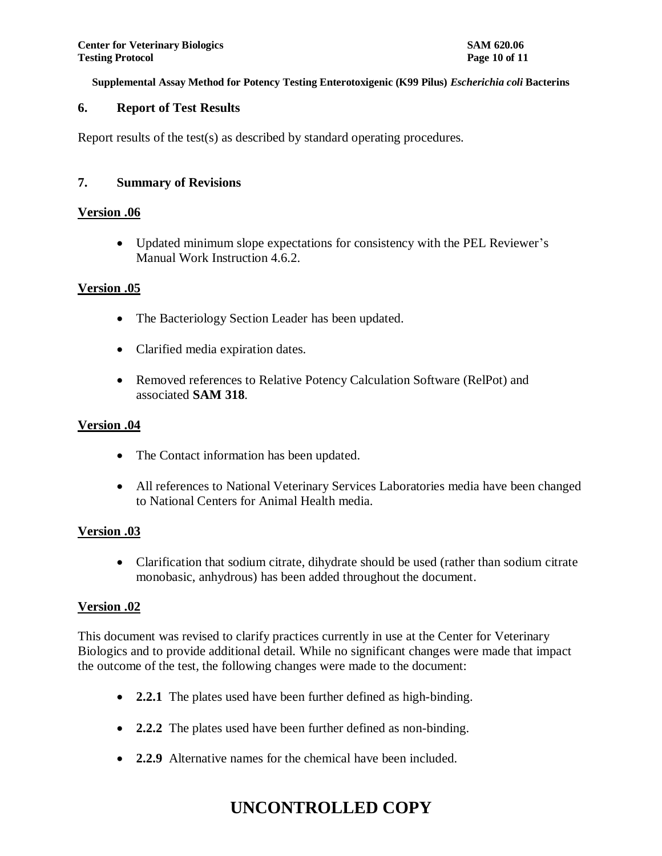## **6. Report of Test Results**

Report results of the test(s) as described by standard operating procedures.

## **7. Summary of Revisions**

### **Version .06**

 Updated minimum slope expectations for consistency with the PEL Reviewer's Manual Work Instruction 4.6.2.

### **Version .05**

- The Bacteriology Section Leader has been updated.
- Clarified media expiration dates.
- Removed references to Relative Potency Calculation Software (RelPot) and associated **SAM 318**.

## **Version .04**

- The Contact information has been updated.
- All references to National Veterinary Services Laboratories media have been changed to National Centers for Animal Health media.

## **Version .03**

• Clarification that sodium citrate, dihydrate should be used (rather than sodium citrate monobasic, anhydrous) has been added throughout the document.

## **Version .02**

This document was revised to clarify practices currently in use at the Center for Veterinary Biologics and to provide additional detail. While no significant changes were made that impact the outcome of the test, the following changes were made to the document:

- **2.2.1** The plates used have been further defined as high-binding.
- **2.2.2** The plates used have been further defined as non-binding.
- **2.2.9** Alternative names for the chemical have been included.